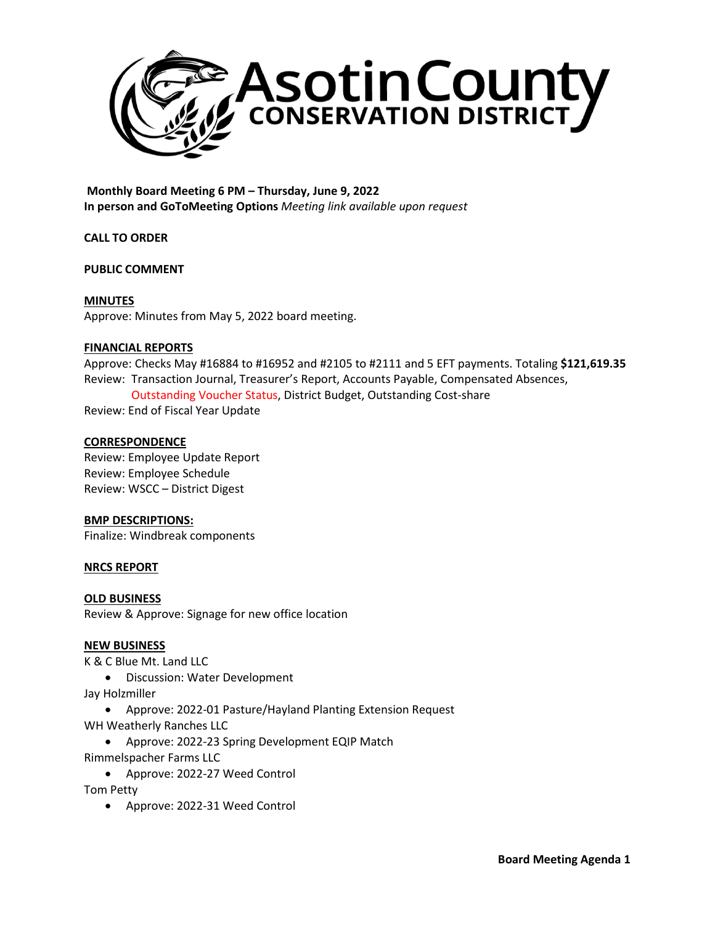

**Monthly Board Meeting 6 PM – Thursday, June 9, 2022 In person and GoToMeeting Options** *Meeting link available upon request*

**CALL TO ORDER**

## **PUBLIC COMMENT**

## **MINUTES**

Approve: Minutes from May 5, 2022 board meeting.

## **FINANCIAL REPORTS**

Approve: Checks May #16884 to #16952 and #2105 to #2111 and 5 EFT payments. Totaling **\$121,619.35** Review: Transaction Journal, Treasurer's Report, Accounts Payable, Compensated Absences, Outstanding Voucher Status, District Budget, Outstanding Cost-share

Review: End of Fiscal Year Update

## **CORRESPONDENCE**

Review: Employee Update Report Review: Employee Schedule Review: WSCC – District Digest

## **BMP DESCRIPTIONS:**

Finalize: Windbreak components

## **NRCS REPORT**

# **OLD BUSINESS**

Review & Approve: Signage for new office location

### **NEW BUSINESS**

K & C Blue Mt. Land LLC

- Discussion: Water Development
- Jay Holzmiller
	- Approve: 2022-01 Pasture/Hayland Planting Extension Request
- WH Weatherly Ranches LLC
	- Approve: 2022-23 Spring Development EQIP Match
- Rimmelspacher Farms LLC
	- Approve: 2022-27 Weed Control

Tom Petty

• Approve: 2022-31 Weed Control